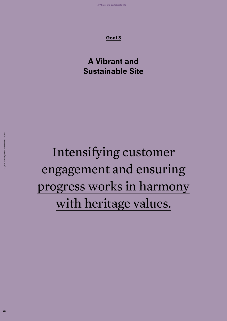# Goal 3

# A Vibrant and Sustainable Site

# Intensifying customer engagement and ensuring progress works in harmony with heritage values.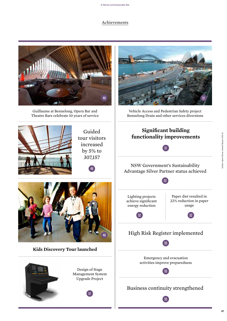### Achievements



Guillaume at Bennelong, Opera Bar and Theatre Bars celebrate 10 years of service



Guided tour visitors increased by 5% to 307,157





**Kids Discovery Tour launched**





Vehicle Access and Pedestrian Safety project Bennelong Drain and other services diversions

# **Significant building functionality improvements**



NSW Government's Sustainability Advantage Silver Partner status achieved

s52

Lighting projects achieve significant energy reduction

Paper diet resulted in 22% reduction in paper usage

s52



# High Risk Register implemented

s55

Emergency and evacuation activities improve preparedness

Business continuity strengthened

s55

 $55$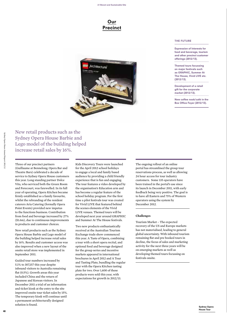# Our Precinct



#### THE FUTURE

Expression of Interests for food and beverage, tourism and other precinct customer offerings (2012/13).

Themed tours focussing on major festivals such as GRAPHIC, Summer At The House, Vivid LIVE etc. (2012/13). 

Development of a retail gift for the corporate market (2012/13).

New coffee nook/café in the Box Office Foyer (2012/13).

New retail products such as the Sydney Opera House Barbie and Lego model of the building helped increase retail sales by 16%.

Three of our precinct partners (Guillaume at Bennelong, Opera Bar and Theatre Bars) celebrated a decade of service to Sydney Opera House customers this year. Long standing partner Dolce Vita, who serviced both the Green Room and Forecourt, was farewelled. In its full year of operating, Opera Kitchen became firmly established as a family favourite, whilst the rebranding of the resident caterers Aria Catering (formally Opera Point Events) provided new impetus to the functions business. Contribution from food and beverage increased by 27% (\$1.6m), due to continuous improvements in products and customer choices.

New retail products such as the Sydney Opera House Barbie and Lego model of the building helped increase retail sales by 16%. Results and customer access was also improved when a new layout of the onsite retail store was implemented in September 2011.

Guided tour numbers increased by 5.1% to 307,157 this year despite inbound visitors to Australia remaining flat (0.5%). Growth areas this year included China and the return of Japanese and Korean visitors. In December 2011 a trial of an information and ticket kiosk at the entry to the site improved onsite tour ticket sales by 15%. The temporary kiosk will continue until a permanent architecturally designed solution is found.

Kids Discovery Tours were launched for the April 2012 school holidays to engage a local and family based audience by providing a child friendly experience that is fun and engaging. The tour features a video developed by the organisation's Education arm and has become a regular feature of the school holiday program. For the first time a pilot festivals tour was created for Vivid LIVE that featured behind the scenes elements of the Vivid LIVE venues. Themed tours will be developed next year around GRAPHIC and Summer At The House festivals.

Two new products enthusiastically received at the Australian Tourism Exchange trade show commenced this year. A Taste of Opera, combining a tour with a short opera recital, and optional food and beverage designed for the group series and incentive markets appeared in international brochures in April 2012 and A Tour and Tasting Plate, bundling the regular tour with the Opera Kitchen tasting plate for two. Over 1,400 of these products were sold this year, with expectations for growth in 2012/13.

The ongoing rollout of an online portal has streamlined the group tour reservations process, as well as allowing 24 hour access for tour industry customers. Some 135 operators have been trained in the portal's use since its launch in December 2011, with early feedback being very positive. The goal is to have all Eastern and 75% of Western operators using the system by December 2012.

#### **Challenges**

Tourism Market – The expected recovery of the US and Europe markets has not materialised, leading to general global uncertainty. With inbound tourism remaining flat and pre booked tours in decline, the focus of sales and marketing activity for the next three years will be on emerging markets as well as developing themed tours focussing on festivals onsite.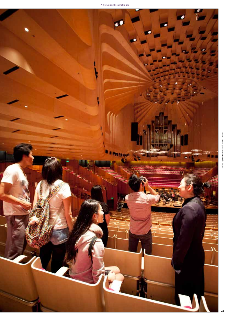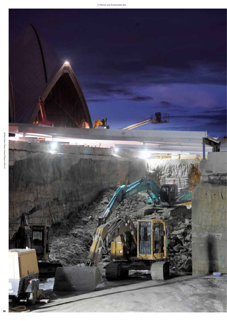

A Vibrant and Sustainable Site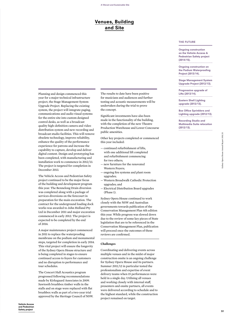# Venues, Building and Site

#### THE FUTURE

Ongoing construction on the Vehicle Access & Pedestrian Safety project (2014/15).

Ongoing construction on the Podium Waterproofing Project (2013/14).

Stage Management System Upgrade Project (2012/13).

Progressive upgrade of Lifts (2013/14).

Eastern Shell Lighting upgrade (2012/13).

Box Office Sprinklers and Lighting upgrade (2012/13).

Recording Studio and Multimedia Suite relocation (2012/13). 

Sydney Opera House Annual Report 2011/12

sydney Opera House Annual Report 2011/12

Planning and design commenced this year for a major technical infrastructure project, the Stage Management System Upgrade Project. Replacing the existing system, the project will integrate paging, communications and audio visual systems for the entire site into custom designed control desks, as well as a broadcast quality high-definition camera and video distribution system and new recording and broadcast studio facilities. This will remove obsolete technology, improve reliability, enhance the quality of the performance experience for patrons and increase the capability to capture, develop and deliver digital content. Design and prototyping has been completed, with manufacturing and installation work to commence in 2012/13. The project is targeted for completion in December 2013.

The Vehicle Access and Pedestrian Safety project continued to be the major focus of the building and development program this year. The Bennelong Drain diversion was completed along with a package of services diversions on the forecourt in preparation for the main excavation. The contract for the underground loading dock works was awarded to John Holland Pty Ltd in December 2011 and major excavation commenced in early 2012. The project is expected to be completed by the end of 2014.

A major maintenance project commenced in 2011 to replace the waterproofing membrane on the podium and monumental steps, targeted for completion in early 2014. This vital project will ensure the longevity of the Sydney Opera House structure and is being completed in stages to ensure continued access to foyers for customers and no disruption to performance and tour schedules.

The Concert Hall Acoustics program progressed following recommendations made by Kirkegaard Associates in 2009. Sawtooth brushbox timber walls in the stalls and on stage were replaced with flat brushbox walls as part of a two-year trial approved by the Heritage Council of NSW. for musicians and audiences and further testing and acoustic measurements will be undertaken during the trial to prove the concept. Significant investments have also been

The results to date have been positive

made in the functionality of the building, with the completion of the new Theatre Production Warehouse and Lower Concourse public amenities.

Other key projects completed or commenced this year included:

- continued refurbishment of lifts, with one additional lift completed and refurbishment commencing for two others;
- new furniture for the renovated Western Foyers;
- ongoing fire systems and plant room upgrades;
- Western Broadwalk Cathodic Protection upgrades; and
- Electrical Distribution Board upgrades (Phase 1).

Sydney Opera House continued to work closely with the NSW and Australian governments towards publication of the Conservation Management Plan 4th edition this year. While progress was slowed down due to the review of some key pieces of State legislation that are to be referenced in the Conservation Management Plan, publication will proceed once the outcomes of these reviews are confirmed.

#### **Challenges**

Coordinating and delivering events across multiple venues and in the midst of major construction onsite is an ongoing challenge for Sydney Opera House and its partners. Summer 2011/12 in particular tested the professionalism and expertise of event delivery teams when 15 performances were held in a single day. Utilising all venues and working closely with internal staff, presenters and onsite partners, all events were delivered according to schedule and to the highest standard, while the construction project remained on target.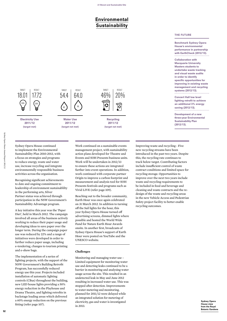# Environmental **Sustainability**

#### ELECTRICITY USE 2011/12 WATER USE 2011/12 WATER USE 2011/12 WATER USE 2011/12 RECYCLING 2012 TARGET 18.01 GWh  $(M<sub>l</sub>)$ RESULT 01 | 17.72 GWh  $\frac{1}{4}$ RESULT  $4 \mid 6$ TARGET  $46\%$ ELECTRICITY USE 2011/12 WATER USE 2011/12 RECYCLING 2012 TARGET  $\mathbb{R}$ <sub>ML</sub> ) | ( <sup>ML</sup> 2 TARGET 54.4 **RESULT** 64.0 64.0  $4<sup>1</sup>$ RESULT  $_0' \mid 20\%$ ELECTRICITY USE 2011/12 WATER USE 2011/12 RECYCLING 2012 RESULT GWh  $\vert$  (ML) TARGET 4  $|$  1 TARGET 46% RESULT Electricity Use 2011/12 (target met) Water Use 2011/12 (target not met) Recycling 2011/12 (target not met)

#### THE FUTURE

Benchmark Sydney Opera House's environmental performance in partnership with EarthCheck (2012/13).

Collaboration with Macquarie University Masters students to undertake waste tracking and visual waste audits in order to identify specific opportunities for improving in existing waste management and recycling systems (2012/13).

Concert Hall low level lighting retrofit to achieve an additional 3% energy saving (2012/13).

Development of a new three-year Environmental Sustainability Plan (2012/13).

Sydney Opera House continued to implement the Environmental Sustainability Plan 2010-2013, with a focus on strategies and programs to reduce energy, waste and water use, increase recycling and integrate environmentally responsible business activities across the organisation.

Recognising significant achievements to date and ongoing commitment to leadership of environment sustainablilty in the performing arts, Silver Partner status was achieved through participation in the NSW Government's Sustainability Advantage program.

A key initiative this year was the 'Paper Diet', held in March 2012. The campaign involved all areas of the business actively working to reduce their paper usage and developing ideas to save paper over the longer term. During the campaign paper use was reduced by 22% and a range of initiatives were developed in order to further reduce paper usage, including e-tendering, changes to tourism printing and e-show bags.

The implementation of a series of lighting projects, with the support of the NSW Government's Building Retrofit Program, has successfully reduced energy use this year. Projects included installation of automatic lighting controls (CBus) throughout the building, new LED house lights providing a 50% energy reduction in the Playhouse and Drama Theatre, and lighting retrofits in backstage loading areas which delivered a 60% energy reduction on the previous fitting (refer page 107).

Work continued on a sustainable events management project, with sustainability action plans developed for Theatre and Events and SOH Presents business units. Work will be undertaken in 2012/13 to ensure these actions are integrated further into event operations. In addition, work continued with corporate partner Origin to improve a carbon footprint and measurement and analysis tool for SOH Presents festivals and programs such as Vivid LIVE (refer page 109).

Reaching out to the broader community, Earth Hour was once again celebrated on 31 March 2012. In addition to turning off the Sail lights for the hour, this year Sydney Opera House turned off advertising screens, dimmed lights where possible and hosted the World Wide Fund for Nature Earth Hour Awards onsite. In another first, broadcasts of Sydney Opera House's support of Earth Hour were posted on YouTube and the UNESCO website.

#### **Challenges**

Monitoring and managing water use – Limited equipment for monitoring water use and detecting leaks continued to be a barrier in monitoring and analysing water usage across the site. This resulted in an undetected leak in May and June 2012 resulting in increased water use. This was stopped after detection. Improvements to water metering and monitoring, planned for 2011/12 were delayed while an integrated solution for metering of electricity, gas and water is investigated in 2013.

Improving waste and recycling - Five new recycling streams have been introduced in the past two years. Despite this, the recycling rate continues to track below target. Contributing factors include insufficient control of waste contract conditions and limited space for recycling storage. Opportunities to improve over the next two years include waste and recycling requirements to be included in food and beverage and cleaning and waste contracts and the redesign of the waste and recycling areas in the new Vehicle Access and Pedestrian Safety project facility to better enable recycling outcomes.

Sydney Opera House view from the Royal Botanic Gardens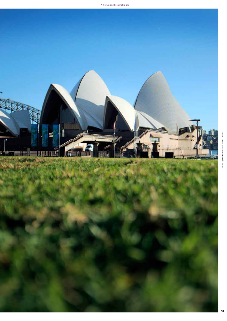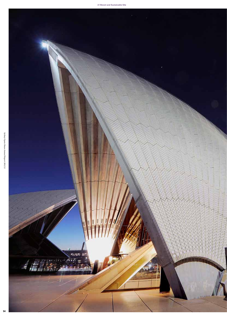

A Vibrant and Sustainable Site